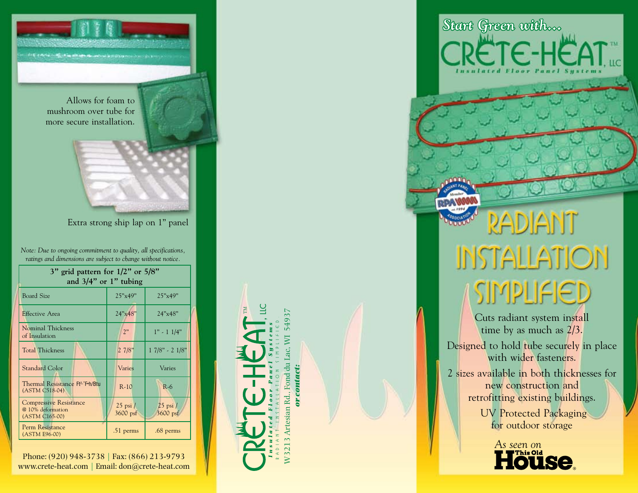

*Note: Due to ongoing commitment to quality, all specifications, ratings and dimensions are subject to change without notice.*

| 3" grid pattern for $1/2$ " or $5/8$ "<br>and $3/4$ " or 1" tubing   |                          |                            |
|----------------------------------------------------------------------|--------------------------|----------------------------|
| <b>Board Size</b>                                                    | 25"x49"                  | 25"x49"                    |
| Effective Area                                                       | 24"x48"                  | 24"x48"                    |
| Nominal Thickness<br>of Insulation                                   | 2"                       | $1" - 11/4"$               |
| <b>Total Thickness</b>                                               | 27/8"                    | $17/8" - 21/8"$            |
| <b>Standard Color</b>                                                | Varies                   | Varies                     |
| Thermal Resistance Ft <sup>2</sup> . F-h/Btu<br>(ASTM C518-04)       | $R-10$                   | $R-6$                      |
| <b>Compressive Resistance</b><br>@ 10% deformation<br>(ASTM C165-00) | $25$ psi $/$<br>3600 psf | $25$ psi $/$<br>$3600$ psf |
| Perm Resistance<br>(ASTM E96-00)                                     | .51 perms                | .68 perms                  |

Phone: (920) 948-3738 | Fax: (866) 213-9793 www.crete-heat.com | Email: don@crete-heat.com



*or contact:*

# RADIANT **INSTALLATION** SIMPLIFIED

*Start Green with...*

**ETE-HEAT** 

Cuts radiant system install time by as much as 2/3.

Designed to hold tube securely in place with wider fasteners.

2 sizes available in both thicknesses for new construction and retrofitting existing buildings. UV Protected Packaging for outdoor storage